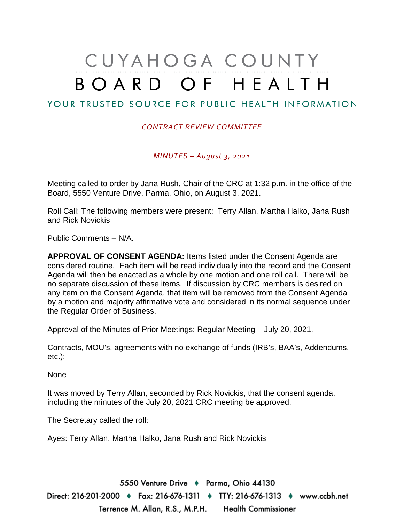# CUYAHOGA COUNTY BOARD OF HEALTH

# YOUR TRUSTED SOURCE FOR PUBLIC HEALTH INFORMATION

#### *CONTRACT REVIEW COMMITTEE*

*MINUTES – August 3, 2021*

Meeting called to order by Jana Rush, Chair of the CRC at 1:32 p.m. in the office of the Board, 5550 Venture Drive, Parma, Ohio, on August 3, 2021.

Roll Call: The following members were present: Terry Allan, Martha Halko, Jana Rush and Rick Novickis

Public Comments – N/A.

**APPROVAL OF CONSENT AGENDA:** Items listed under the Consent Agenda are considered routine. Each item will be read individually into the record and the Consent Agenda will then be enacted as a whole by one motion and one roll call. There will be no separate discussion of these items. If discussion by CRC members is desired on any item on the Consent Agenda, that item will be removed from the Consent Agenda by a motion and majority affirmative vote and considered in its normal sequence under the Regular Order of Business.

Approval of the Minutes of Prior Meetings: Regular Meeting – July 20, 2021.

Contracts, MOU's, agreements with no exchange of funds (IRB's, BAA's, Addendums, etc.):

None

It was moved by Terry Allan, seconded by Rick Novickis, that the consent agenda, including the minutes of the July 20, 2021 CRC meeting be approved.

The Secretary called the roll:

Ayes: Terry Allan, Martha Halko, Jana Rush and Rick Novickis

5550 Venture Drive + Parma, Ohio 44130 Direct: 216-201-2000 ♦ Fax: 216-676-1311 ♦ TTY: 216-676-1313 ♦ www.ccbh.net Terrence M. Allan, R.S., M.P.H. Health Commissioner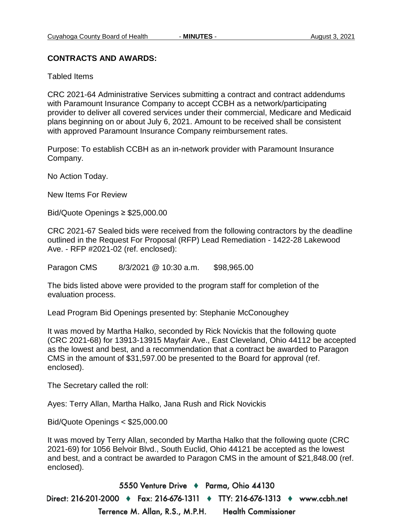#### **CONTRACTS AND AWARDS:**

Tabled Items

CRC 2021-64 Administrative Services submitting a contract and contract addendums with Paramount Insurance Company to accept CCBH as a network/participating provider to deliver all covered services under their commercial, Medicare and Medicaid plans beginning on or about July 6, 2021. Amount to be received shall be consistent with approved Paramount Insurance Company reimbursement rates.

Purpose: To establish CCBH as an in-network provider with Paramount Insurance Company.

No Action Today.

New Items For Review

Bid/Quote Openings ≥ \$25,000.00

CRC 2021-67 Sealed bids were received from the following contractors by the deadline outlined in the Request For Proposal (RFP) Lead Remediation - 1422-28 Lakewood Ave. - RFP #2021-02 (ref. enclosed):

Paragon CMS 8/3/2021 @ 10:30 a.m. \$98,965.00

The bids listed above were provided to the program staff for completion of the evaluation process.

Lead Program Bid Openings presented by: Stephanie McConoughey

It was moved by Martha Halko, seconded by Rick Novickis that the following quote (CRC 2021-68) for 13913-13915 Mayfair Ave., East Cleveland, Ohio 44112 be accepted as the lowest and best, and a recommendation that a contract be awarded to Paragon CMS in the amount of \$31,597.00 be presented to the Board for approval (ref. enclosed).

The Secretary called the roll:

Ayes: Terry Allan, Martha Halko, Jana Rush and Rick Novickis

Bid/Quote Openings < \$25,000.00

It was moved by Terry Allan, seconded by Martha Halko that the following quote (CRC 2021-69) for 1056 Belvoir Blvd., South Euclid, Ohio 44121 be accepted as the lowest and best, and a contract be awarded to Paragon CMS in the amount of \$21,848.00 (ref. enclosed).

5550 Venture Drive + Parma, Ohio 44130 Direct: 216-201-2000 ♦ Fax: 216-676-1311 ♦ TTY: 216-676-1313 ♦ www.ccbh.net Terrence M. Allan, R.S., M.P.H. **Health Commissioner**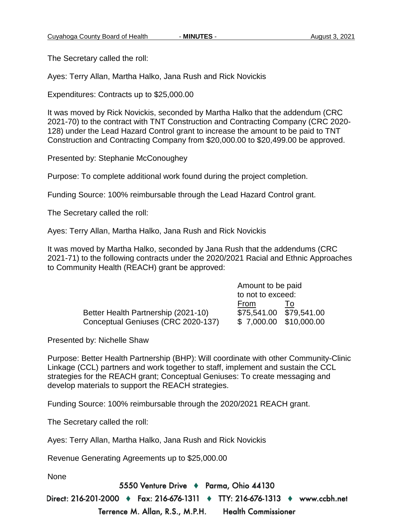The Secretary called the roll:

Ayes: Terry Allan, Martha Halko, Jana Rush and Rick Novickis

Expenditures: Contracts up to \$25,000.00

It was moved by Rick Novickis, seconded by Martha Halko that the addendum (CRC 2021-70) to the contract with TNT Construction and Contracting Company (CRC 2020- 128) under the Lead Hazard Control grant to increase the amount to be paid to TNT Construction and Contracting Company from \$20,000.00 to \$20,499.00 be approved.

Presented by: Stephanie McConoughey

Purpose: To complete additional work found during the project completion.

Funding Source: 100% reimbursable through the Lead Hazard Control grant.

The Secretary called the roll:

Ayes: Terry Allan, Martha Halko, Jana Rush and Rick Novickis

It was moved by Martha Halko, seconded by Jana Rush that the addendums (CRC 2021-71) to the following contracts under the 2020/2021 Racial and Ethnic Approaches to Community Health (REACH) grant be approved:

|                                     | Amount to be paid       |    |  |
|-------------------------------------|-------------------------|----|--|
|                                     | to not to exceed:       |    |  |
|                                     | From                    | 1o |  |
| Better Health Partnership (2021-10) | \$75,541.00 \$79,541.00 |    |  |
| Conceptual Geniuses (CRC 2020-137)  | \$7,000.00 \$10,000.00  |    |  |

Presented by: Nichelle Shaw

Purpose: Better Health Partnership (BHP): Will coordinate with other Community-Clinic Linkage (CCL) partners and work together to staff, implement and sustain the CCL strategies for the REACH grant; Conceptual Geniuses: To create messaging and develop materials to support the REACH strategies.

Funding Source: 100% reimbursable through the 2020/2021 REACH grant.

The Secretary called the roll:

Ayes: Terry Allan, Martha Halko, Jana Rush and Rick Novickis

Revenue Generating Agreements up to \$25,000.00

None

5550 Venture Drive + Parma, Ohio 44130

Direct: 216-201-2000 ♦ Fax: 216-676-1311 ♦ TTY: 216-676-1313 ♦ www.ccbh.net

Terrence M. Allan, R.S., M.P.H. **Health Commissioner**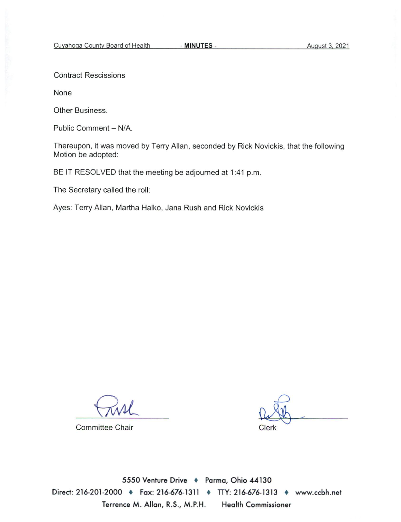**Contract Rescissions** 

None

Other Business.

Public Comment - N/A.

Thereupon, it was moved by Terry Allan, seconded by Rick Novickis, that the following Motion be adopted:

BE IT RESOLVED that the meeting be adjourned at 1:41 p.m.

The Secretary called the roll:

Ayes: Terry Allan, Martha Halko, Jana Rush and Rick Novickis

**Committee Chair** 

Clerk

5550 Venture Drive + Parma, Ohio 44130 Direct: 216-201-2000 • Fax: 216-676-1311 • TTY: 216-676-1313 • www.ccbh.net Terrence M. Allan, R.S., M.P.H. **Health Commissioner**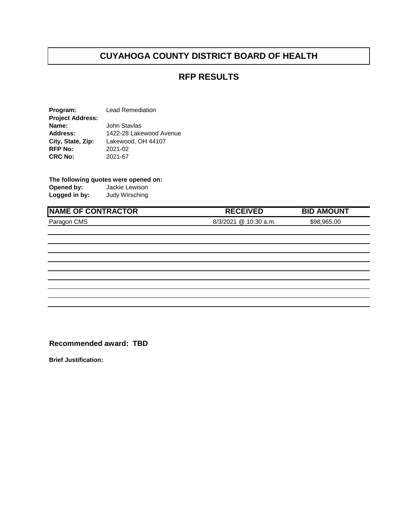# **CUYAHOGA COUNTY DISTRICT BOARD OF HEALTH**

### **RFP RESULTS**

**Program:** Lead Remediation **Project Address: Name:** John Stavlas<br> **Address:** 1422-28 Lake Address: 1422-28 Lakewood Avenue<br>City, State, Zip: Lakewood, OH 44107 Lakewood, OH 44107<br>2021-02 **RFP No:** 2021-02<br> **CRC No:** 2021-67 **CRC No:** 

# **The following quotes were opened on:**

**Jackie Lewison<br>Judy Wirsching Logged in by:** 

#### **NAME OF CONTRACTOR RECEIVED BID AMOUNT**

Paragon CMS 6/3/2021 @ 10:30 a.m. \$98,965.00

**Recommended award: TBD**

**Brief Justification:**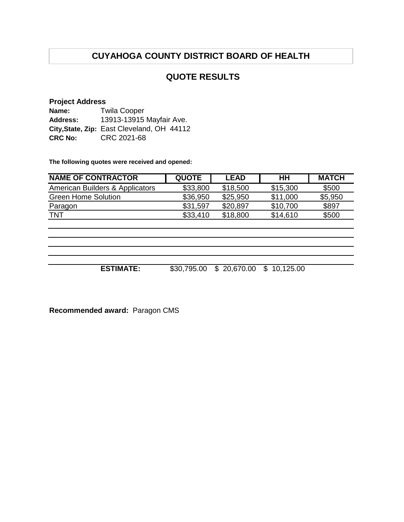# **CUYAHOGA COUNTY DISTRICT BOARD OF HEALTH**

# **QUOTE RESULTS**

#### **Project Address**

| Name:           | <b>Twila Cooper</b>                        |
|-----------------|--------------------------------------------|
| <b>Address:</b> | 13913-13915 Mayfair Ave.                   |
|                 | City, State, Zip: East Cleveland, OH 44112 |
| <b>CRC No:</b>  | CRC 2021-68                                |

**The following quotes were received and opened:**

| <b>NAME OF CONTRACTOR</b>       | <b>QUOTE</b> | <b>LEAD</b> | HH       | <b>MATCH</b> |
|---------------------------------|--------------|-------------|----------|--------------|
| American Builders & Applicators | \$33,800     | \$18,500    | \$15,300 | \$500        |
| <b>Green Home Solution</b>      | \$36,950     | \$25,950    | \$11,000 | \$5,950      |
| Paragon                         | \$31,597     | \$20,897    | \$10,700 | \$897        |
| TNT                             | \$33,410     | \$18,800    | \$14,610 | \$500        |

**ESTIMATE:** \$30,795.00 \$ 20,670.00 \$ 10,125.00

**Recommended award:** Paragon CMS